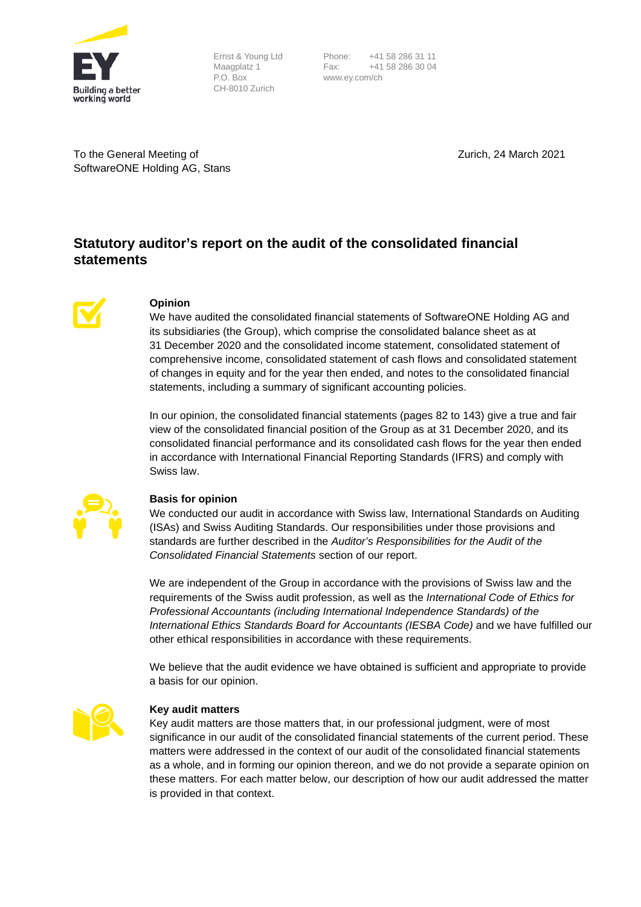

Ernst & Young Ltd Maagplatz 1 P.O. Box CH-8010 Zurich

Phone: +41 58 286 31 11<br>Fax: +41 58 286 30 04 Fax: +41 58 286 30 04 www.ey.com/ch

To the General Meeting of SoftwareONE Holding AG, Stans Zurich, 24 March 2021

# **Statutory auditor's report on the audit of the consolidated financial statements**



# **Opinion**

We have audited the consolidated financial statements of SoftwareONE Holding AG and its subsidiaries (the Group), which comprise the consolidated balance sheet as at 31 December 2020 and the consolidated income statement, consolidated statement of comprehensive income, consolidated statement of cash flows and consolidated statement of changes in equity and for the year then ended, and notes to the consolidated financial statements, including a summary of significant accounting policies.

In our opinion, the consolidated financial statements (pages 82 to 143) give a true and fair view of the consolidated financial position of the Group as at 31 December 2020, and its consolidated financial performance and its consolidated cash flows for the year then ended in accordance with International Financial Reporting Standards (IFRS) and comply with Swiss law.



# **Basis for opinion**

We conducted our audit in accordance with Swiss law, International Standards on Auditing (ISAs) and Swiss Auditing Standards. Our responsibilities under those provisions and standards are further described in the *Auditor's Responsibilities for the Audit of the Consolidated Financial Statements* section of our report.

We are independent of the Group in accordance with the provisions of Swiss law and the requirements of the Swiss audit profession, as well as the *International Code of Ethics for Professional Accountants (including International Independence Standards) of the International Ethics Standards Board for Accountants (IESBA Code)* and we have fulfilled our other ethical responsibilities in accordance with these requirements.

We believe that the audit evidence we have obtained is sufficient and appropriate to provide a basis for our opinion.



# **Key audit matters**

Key audit matters are those matters that, in our professional judgment, were of most significance in our audit of the consolidated financial statements of the current period. These matters were addressed in the context of our audit of the consolidated financial statements as a whole, and in forming our opinion thereon, and we do not provide a separate opinion on these matters. For each matter below, our description of how our audit addressed the matter is provided in that context.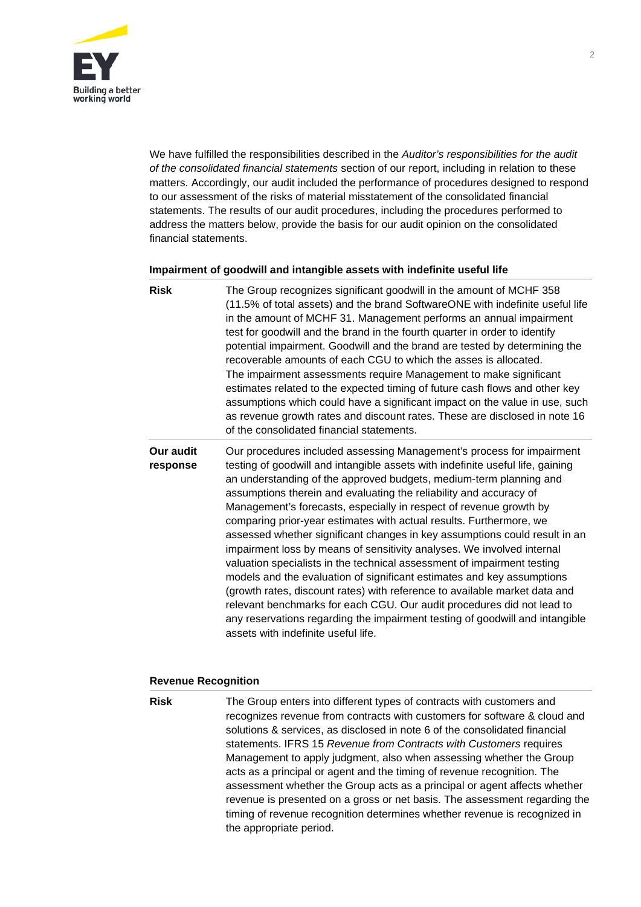

We have fulfilled the responsibilities described in the *Auditor's responsibilities for the audit of the consolidated financial statements* section of our report, including in relation to these matters. Accordingly, our audit included the performance of procedures designed to respond to our assessment of the risks of material misstatement of the consolidated financial statements. The results of our audit procedures, including the procedures performed to address the matters below, provide the basis for our audit opinion on the consolidated financial statements.

# **Impairment of goodwill and intangible assets with indefinite useful life**

| <b>Risk</b>           | The Group recognizes significant goodwill in the amount of MCHF 358<br>(11.5% of total assets) and the brand SoftwareONE with indefinite useful life<br>in the amount of MCHF 31. Management performs an annual impairment<br>test for goodwill and the brand in the fourth quarter in order to identify<br>potential impairment. Goodwill and the brand are tested by determining the<br>recoverable amounts of each CGU to which the asses is allocated.<br>The impairment assessments require Management to make significant<br>estimates related to the expected timing of future cash flows and other key<br>assumptions which could have a significant impact on the value in use, such<br>as revenue growth rates and discount rates. These are disclosed in note 16<br>of the consolidated financial statements.                                                                                                                                                                                                                     |
|-----------------------|----------------------------------------------------------------------------------------------------------------------------------------------------------------------------------------------------------------------------------------------------------------------------------------------------------------------------------------------------------------------------------------------------------------------------------------------------------------------------------------------------------------------------------------------------------------------------------------------------------------------------------------------------------------------------------------------------------------------------------------------------------------------------------------------------------------------------------------------------------------------------------------------------------------------------------------------------------------------------------------------------------------------------------------------|
| Our audit<br>response | Our procedures included assessing Management's process for impairment<br>testing of goodwill and intangible assets with indefinite useful life, gaining<br>an understanding of the approved budgets, medium-term planning and<br>assumptions therein and evaluating the reliability and accuracy of<br>Management's forecasts, especially in respect of revenue growth by<br>comparing prior-year estimates with actual results. Furthermore, we<br>assessed whether significant changes in key assumptions could result in an<br>impairment loss by means of sensitivity analyses. We involved internal<br>valuation specialists in the technical assessment of impairment testing<br>models and the evaluation of significant estimates and key assumptions<br>(growth rates, discount rates) with reference to available market data and<br>relevant benchmarks for each CGU. Our audit procedures did not lead to<br>any reservations regarding the impairment testing of goodwill and intangible<br>assets with indefinite useful life. |

# **Revenue Recognition**

**Risk** The Group enters into different types of contracts with customers and recognizes revenue from contracts with customers for software & cloud and solutions & services, as disclosed in note 6 of the consolidated financial statements. IFRS 15 *Revenue from Contracts with Customers* requires Management to apply judgment, also when assessing whether the Group acts as a principal or agent and the timing of revenue recognition. The assessment whether the Group acts as a principal or agent affects whether revenue is presented on a gross or net basis. The assessment regarding the timing of revenue recognition determines whether revenue is recognized in the appropriate period.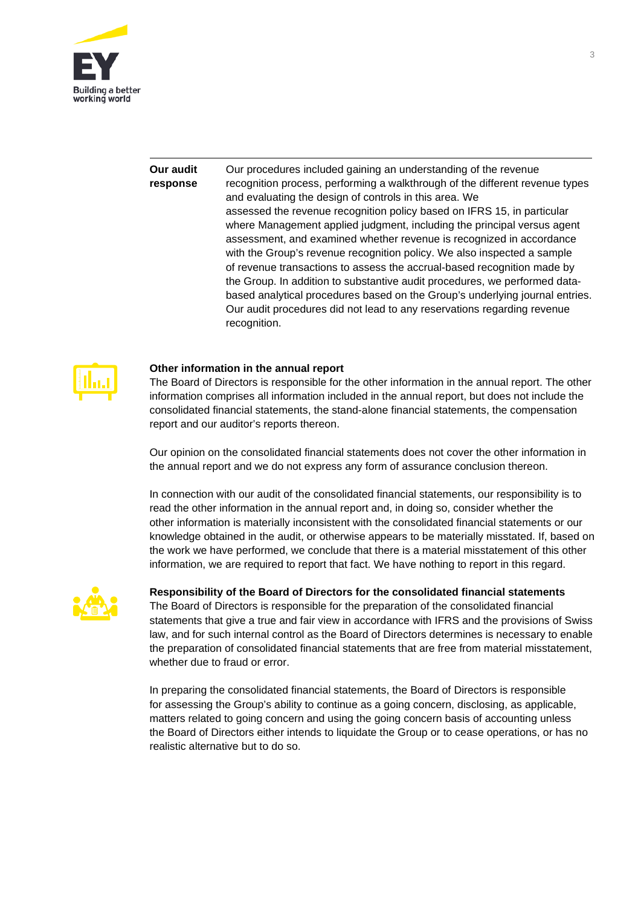

#### **Our audit response** Our procedures included gaining an understanding of the revenue recognition process, performing a walkthrough of the different revenue types and evaluating the design of controls in this area. We assessed the revenue recognition policy based on IFRS 15, in particular where Management applied judgment, including the principal versus agent assessment, and examined whether revenue is recognized in accordance with the Group's revenue recognition policy. We also inspected a sample of revenue transactions to assess the accrual-based recognition made by the Group. In addition to substantive audit procedures, we performed databased analytical procedures based on the Group's underlying journal entries. Our audit procedures did not lead to any reservations regarding revenue recognition.



# **Other information in the annual report**

The Board of Directors is responsible for the other information in the annual report. The other information comprises all information included in the annual report, but does not include the consolidated financial statements, the stand-alone financial statements, the compensation report and our auditor's reports thereon.

Our opinion on the consolidated financial statements does not cover the other information in the annual report and we do not express any form of assurance conclusion thereon.

In connection with our audit of the consolidated financial statements, our responsibility is to read the other information in the annual report and, in doing so, consider whether the other information is materially inconsistent with the consolidated financial statements or our knowledge obtained in the audit, or otherwise appears to be materially misstated. If, based on the work we have performed, we conclude that there is a material misstatement of this other information, we are required to report that fact. We have nothing to report in this regard.



# **Responsibility of the Board of Directors for the consolidated financial statements**

The Board of Directors is responsible for the preparation of the consolidated financial statements that give a true and fair view in accordance with IFRS and the provisions of Swiss law, and for such internal control as the Board of Directors determines is necessary to enable the preparation of consolidated financial statements that are free from material misstatement, whether due to fraud or error.

In preparing the consolidated financial statements, the Board of Directors is responsible for assessing the Group's ability to continue as a going concern, disclosing, as applicable, matters related to going concern and using the going concern basis of accounting unless the Board of Directors either intends to liquidate the Group or to cease operations, or has no realistic alternative but to do so.